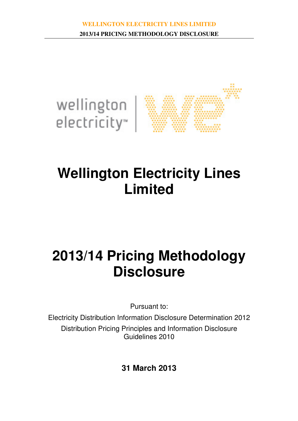

# **Wellington Electricity Lines Limited**

# **2013/14 Pricing Methodology Disclosure**

Pursuant to:

Electricity Distribution Information Disclosure Determination 2012 Distribution Pricing Principles and Information Disclosure Guidelines 2010

**31 March 2013**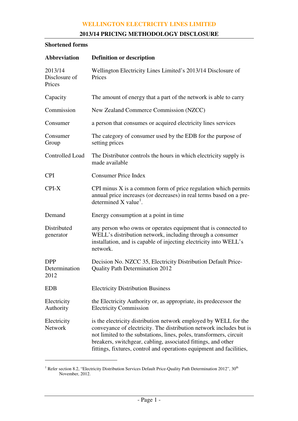# **2013/14 PRICING METHODOLOGY DISCLOSURE**

## **Shortened forms**

| <b>Abbreviation</b>                 | <b>Definition or description</b>                                                                                                                                                                                                                                                                                                                        |
|-------------------------------------|---------------------------------------------------------------------------------------------------------------------------------------------------------------------------------------------------------------------------------------------------------------------------------------------------------------------------------------------------------|
| 2013/14<br>Disclosure of<br>Prices  | Wellington Electricity Lines Limited's 2013/14 Disclosure of<br>Prices                                                                                                                                                                                                                                                                                  |
| Capacity                            | The amount of energy that a part of the network is able to carry                                                                                                                                                                                                                                                                                        |
| Commission                          | New Zealand Commerce Commission (NZCC)                                                                                                                                                                                                                                                                                                                  |
| Consumer                            | a person that consumes or acquired electricity lines services                                                                                                                                                                                                                                                                                           |
| Consumer<br>Group                   | The category of consumer used by the EDB for the purpose of<br>setting prices                                                                                                                                                                                                                                                                           |
| <b>Controlled Load</b>              | The Distributor controls the hours in which electricity supply is<br>made available                                                                                                                                                                                                                                                                     |
| <b>CPI</b>                          | <b>Consumer Price Index</b>                                                                                                                                                                                                                                                                                                                             |
| CPI-X                               | CPI minus $X$ is a common form of price regulation which permits<br>annual price increases (or decreases) in real terms based on a pre-<br>determined $X$ value <sup>1</sup> .                                                                                                                                                                          |
| Demand                              | Energy consumption at a point in time.                                                                                                                                                                                                                                                                                                                  |
| Distributed<br>generator            | any person who owns or operates equipment that is connected to<br>WELL's distribution network, including through a consumer<br>installation, and is capable of injecting electricity into WELL's<br>network.                                                                                                                                            |
| <b>DPP</b><br>Determination<br>2012 | Decision No. NZCC 35, Electricity Distribution Default Price-<br><b>Quality Path Determination 2012</b>                                                                                                                                                                                                                                                 |
| <b>EDB</b>                          | <b>Electricity Distribution Business</b>                                                                                                                                                                                                                                                                                                                |
| Electricity<br>Authority            | the Electricity Authority or, as appropriate, its predecessor the<br><b>Electricity Commission</b>                                                                                                                                                                                                                                                      |
| Electricity<br>Network              | is the electricity distribution network employed by WELL for the<br>conveyance of electricity. The distribution network includes but is<br>not limited to the substations, lines, poles, transformers, circuit<br>breakers, switchgear, cabling, associated fittings, and other<br>fittings, fixtures, control and operations equipment and facilities, |

<sup>&</sup>lt;sup>1</sup> Refer section 8.2, "Electricity Distribution Services Default Price-Quality Path Determination 2012", 30<sup>th</sup> November, 2012.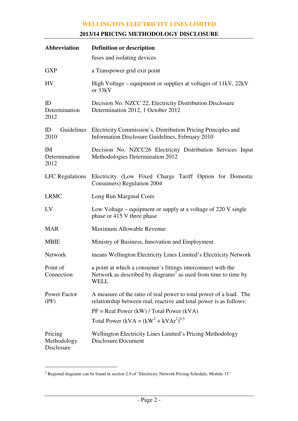# **2013/14 PRICING METHODOLOGY DISCLOSURE**

| <b>Abbreviation</b>                  | <b>Definition or description</b>                                                                                                                          |
|--------------------------------------|-----------------------------------------------------------------------------------------------------------------------------------------------------------|
|                                      | fuses and isolating devices                                                                                                                               |
| <b>GXP</b>                           | a Transpower grid exit point                                                                                                                              |
| HV                                   | High Voltage – equipment or supplies at voltages of 11kV, 22kV<br>or 33kV                                                                                 |
| ID<br>Determination<br>2012          | Decision No. NZCC 22, Electricity Distribution Disclosure<br>Determination 2012, 1 October 2012                                                           |
| ID<br>2010                           | Guidelines Electricity Commission's, Distribution Pricing Principles and<br>Information Disclosure Guidelines, February 2010                              |
| <b>IM</b><br>Determination<br>2012   | Decision No. NZCC26 Electricity Distribution Services Input<br>Methodologies Determination 2012                                                           |
|                                      | LFC Regulations Electricity (Low Fixed Charge Tariff Option for Domestic<br>Consumers) Regulation 2004                                                    |
| <b>LRMC</b>                          | Long Run Marginal Costs                                                                                                                                   |
| LV                                   | Low Voltage – equipment or supply at a voltage of $220$ V single<br>phase or 415 V three phase                                                            |
| <b>MAR</b>                           | Maximum Allowable Revenue                                                                                                                                 |
| <b>MBIE</b>                          | Ministry of Business, Innovation and Employment                                                                                                           |
| <b>Network</b>                       | means Wellington Electricity Lines Limited's Electricity Network                                                                                          |
| Point of<br>Connection               | a point at which a consumer's fittings interconnect with the<br>Network as described by diagrams <sup>2</sup> as used from time to time by<br><b>WELL</b> |
| Power Factor<br>(PF)                 | A measure of the ratio of real power to total power of a load. The<br>relationship between real, reactive and total power is as follows:                  |
|                                      | $PF = Real Power (kW) / Total Power (kVA)$                                                                                                                |
|                                      | Total Power (kVA = $(kW^2 + kVAr^2)^{0.5}$                                                                                                                |
| Pricing<br>Methodology<br>Disclosure | Wellington Electricity Lines Limited's Pricing Methodology<br>Disclosure Document                                                                         |

 $2$  Regional diagrams can be found in section 2.9 of "Electricity Network Pricing Schedule, Module 15"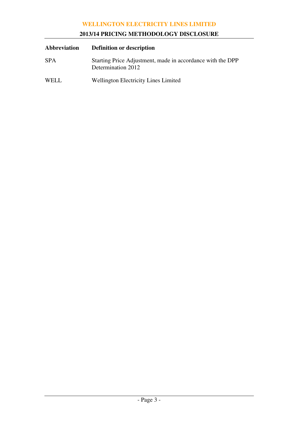# **2013/14 PRICING METHODOLOGY DISCLOSURE**

| Abbreviation | <b>Definition or description</b>                                                 |
|--------------|----------------------------------------------------------------------------------|
| <b>SPA</b>   | Starting Price Adjustment, made in accordance with the DPP<br>Determination 2012 |
| WELL.        | <b>Wellington Electricity Lines Limited</b>                                      |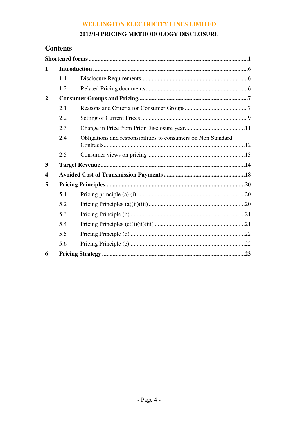# 2013/14 PRICING METHODOLOGY DISCLOSURE

# **Contents**

| 1                |     |                                                               |
|------------------|-----|---------------------------------------------------------------|
|                  | 1.1 |                                                               |
|                  | 1.2 |                                                               |
| $\overline{2}$   |     |                                                               |
|                  | 2.1 |                                                               |
|                  | 2.2 |                                                               |
|                  | 2.3 |                                                               |
|                  | 2.4 | Obligations and responsibilities to consumers on Non Standard |
|                  | 2.5 |                                                               |
| 3                |     |                                                               |
| $\boldsymbol{4}$ |     |                                                               |
| 5                |     |                                                               |
|                  | 5.1 |                                                               |
|                  | 5.2 |                                                               |
|                  | 5.3 |                                                               |
|                  | 5.4 |                                                               |
|                  | 5.5 |                                                               |
|                  | 5.6 |                                                               |
| 6                |     |                                                               |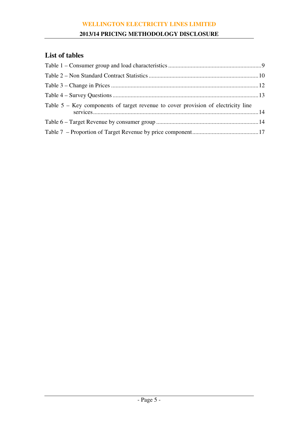# **2013/14 PRICING METHODOLOGY DISCLOSURE**

# **List of tables**

| Table $5 - Key$ components of target revenue to cover provision of electricity line |  |
|-------------------------------------------------------------------------------------|--|
|                                                                                     |  |
|                                                                                     |  |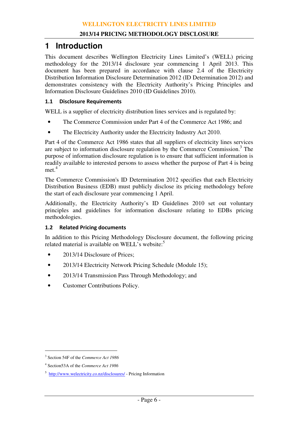# **1 Introduction**

This document describes Wellington Electricity Lines Limited's (WELL) pricing methodology for the 2013/14 disclosure year commencing 1 April 2013. This document has been prepared in accordance with clause 2.4 of the Electricity Distribution Information Disclosure Determination 2012 (ID Determination 2012) and demonstrates consistency with the Electricity Authority's Pricing Principles and Information Disclosure Guidelines 2010 (ID Guidelines 2010).

### 1.1 Disclosure Requirements

WELL is a supplier of electricity distribution lines services and is regulated by:

- The Commerce Commission under Part 4 of the Commerce Act 1986; and
- The Electricity Authority under the Electricity Industry Act 2010.

Part 4 of the Commerce Act 1986 states that all suppliers of electricity lines services are subject to information disclosure regulation by the Commerce Commission.<sup>3</sup> The purpose of information disclosure regulation is to ensure that sufficient information is readily available to interested persons to assess whether the purpose of Part 4 is being met.<sup>4</sup>

The Commerce Commission's ID Determination 2012 specifies that each Electricity Distribution Business (EDB) must publicly disclose its pricing methodology before the start of each disclosure year commencing 1 April.

Additionally, the Electricity Authority's ID Guidelines 2010 set out voluntary principles and guidelines for information disclosure relating to EDBs pricing methodologies.

# 1.2 Related Pricing documents

In addition to this Pricing Methodology Disclosure document, the following pricing related material is available on WELL's website:<sup>5</sup>

- 2013/14 Disclosure of Prices;
- 2013/14 Electricity Network Pricing Schedule (Module 15);
- 2013/14 Transmission Pass Through Methodology; and
- Customer Contributions Policy.

<sup>3</sup> Section 54F of the *Commerce Act 1986*

<sup>4</sup> Section53A of the *Commerce Act 1986*

<sup>&</sup>lt;sup>5</sup> http://www.welectricity.co.nz/disclosures/ - Pricing Information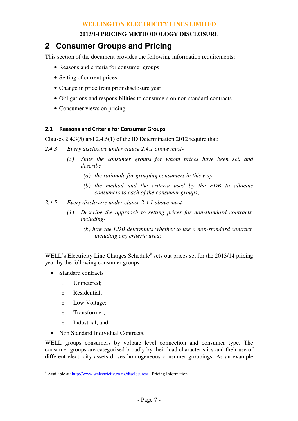# **2 Consumer Groups and Pricing**

This section of the document provides the following information requirements:

- Reasons and criteria for consumer groups
- Setting of current prices
- Change in price from prior disclosure year
- Obligations and responsibilities to consumers on non standard contracts
- Consumer views on pricing

# 2.1 Reasons and Criteria for Consumer Groups

Clauses 2.4.3(5) and 2.4.5(1) of the ID Determination 2012 require that:

- *2.4.3 Every disclosure under clause 2.4.1 above must-* 
	- *(5) State the consumer groups for whom prices have been set, and describe-* 
		- *(a) the rationale for grouping consumers in this way;*
		- *(b) the method and the criteria used by the EDB to allocate consumers to each of the consumer groups*;
- *2.4.5 Every disclosure under clause 2.4.1 above must-* 
	- *(1) Describe the approach to setting prices for non-standard contracts, including-* 
		- *(b) how the EDB determines whether to use a non-standard contract, including any criteria used;*

WELL's Electricity Line Charges Schedule<sup>6</sup> sets out prices set for the 2013/14 pricing year by the following consumer groups:

- Standard contracts
	- o Unmetered;
	- o Residential;
	- o Low Voltage;
	- o Transformer;
	- o Industrial; and

 $\overline{a}$ 

• Non Standard Individual Contracts.

WELL groups consumers by voltage level connection and consumer type. The consumer groups are categorised broadly by their load characteristics and their use of different electricity assets drives homogeneous consumer groupings. As an example

<sup>&</sup>lt;sup>6</sup> Available at: http://www.welectricity.co.nz/disclosures/ - Pricing Information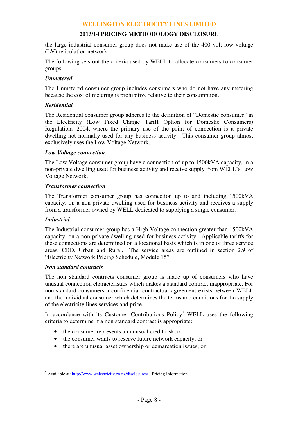the large industrial consumer group does not make use of the 400 volt low voltage (LV) reticulation network.

The following sets out the criteria used by WELL to allocate consumers to consumer groups:

#### *Unmetered*

The Unmetered consumer group includes consumers who do not have any metering because the cost of metering is prohibitive relative to their consumption.

#### *Residential*

The Residential consumer group adheres to the definition of "Domestic consumer" in the Electricity (Low Fixed Charge Tariff Option for Domestic Consumers) Regulations 2004, where the primary use of the point of connection is a private dwelling not normally used for any business activity. This consumer group almost exclusively uses the Low Voltage Network.

#### *Low Voltage connection*

The Low Voltage consumer group have a connection of up to 1500kVA capacity, in a non-private dwelling used for business activity and receive supply from WELL's Low Voltage Network.

#### *Transformer connection*

The Transformer consumer group has connection up to and including 1500kVA capacity, on a non-private dwelling used for business activity and receives a supply from a transformer owned by WELL dedicated to supplying a single consumer.

#### *Industrial*

 $\overline{a}$ 

The Industrial consumer group has a High Voltage connection greater than 1500kVA capacity, on a non-private dwelling used for business activity. Applicable tariffs for these connections are determined on a locational basis which is in one of three service areas, CBD, Urban and Rural. The service areas are outlined in section 2.9 of "Electricity Network Pricing Schedule, Module 15"

#### *Non standard contracts*

The non standard contracts consumer group is made up of consumers who have unusual connection characteristics which makes a standard contract inappropriate. For non-standard consumers a confidential contractual agreement exists between WELL and the individual consumer which determines the terms and conditions for the supply of the electricity lines services and price.

In accordance with its Customer Contributions  $Policy<sup>7</sup> WELL$  uses the following criteria to determine if a non standard contract is appropriate:

- the consumer represents an unusual credit risk; or
- the consumer wants to reserve future network capacity; or
- there are unusual asset ownership or demarcation issues; or

<sup>&</sup>lt;sup>7</sup> Available at: http://www.welectricity.co.nz/disclosures/ - Pricing Information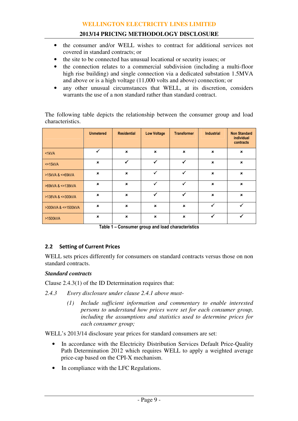- the consumer and/or WELL wishes to contract for additional services not covered in standard contracts; or
- the site to be connected has unusual locational or security issues; or
- the connection relates to a commercial subdivision (including a multi-floor high rise building) and single connection via a dedicated substation 1.5MVA and above or is a high voltage (11,000 volts and above) connection; or
- any other unusual circumstances that WELL, at its discretion, considers warrants the use of a non standard rather than standard contract.

The following table depicts the relationship between the consumer group and load characteristics.

|                         | <b>Unmetered</b>          | <b>Residential</b>        | <b>Low Voltage</b>        | <b>Transformer</b>        | <b>Industrial</b>         | <b>Non Standard</b><br>individual<br>contracts |
|-------------------------|---------------------------|---------------------------|---------------------------|---------------------------|---------------------------|------------------------------------------------|
| $<$ 1 $kVA$             | ✓                         | $\mathbf x$               | $\mathbf x$               | $\mathbf x$               | $\pmb{\times}$            | $\pmb{\times}$                                 |
| $<=15kVA$               | $\boldsymbol{\mathsf{x}}$ | ✓                         | ✓                         | ✓                         | $\mathbf x$               | $\boldsymbol{\mathsf{x}}$                      |
| $>15kVA$ & $\leq$ 69kVA | $\boldsymbol{\mathsf{x}}$ | $\boldsymbol{\mathsf{x}}$ | ✓                         | ✓                         | $\pmb{\times}$            | $\pmb{\times}$                                 |
| >69kVA & <=138kVA       | $\boldsymbol{\mathsf{x}}$ | $\boldsymbol{\mathsf{x}}$ | ✓                         | ✓                         | $\boldsymbol{\mathsf{x}}$ | $\mathbf{x}$                                   |
| >138VA & <= 300kVA      | $\boldsymbol{\mathsf{x}}$ | $\boldsymbol{\mathsf{x}}$ | ✓                         | ✓                         | $\boldsymbol{\mathsf{x}}$ | $\boldsymbol{\mathsf{x}}$                      |
| >300kVA & <=1500kVA     | $\boldsymbol{\mathsf{x}}$ | $\boldsymbol{\mathsf{x}}$ | $\boldsymbol{\mathsf{x}}$ | $\boldsymbol{\mathsf{x}}$ | ✓                         | ✓                                              |
| >1500kVA                | $\mathbf x$               | $\boldsymbol{\mathsf{x}}$ | $\mathbf x$               | $\boldsymbol{\mathsf{x}}$ | ✓                         | ✓                                              |

Table 1 – Consumer group and load characteristics

# 2.2 Setting of Current Prices

WELL sets prices differently for consumers on standard contracts versus those on non standard contracts.

#### *Standard contracts*

Clause 2.4.3(1) of the ID Determination requires that:

- *2.4.3 Every disclosure under clause 2.4.1 above must-* 
	- *(1) Include sufficient information and commentary to enable interested persons to understand how prices were set for each consumer group, including the assumptions and statistics used to determine prices for each consumer group;*

WELL's 2013/14 disclosure year prices for standard consumers are set:

- In accordance with the Electricity Distribution Services Default Price-Quality Path Determination 2012 which requires WELL to apply a weighted average price-cap based on the CPI-X mechanism.
- In compliance with the LFC Regulations.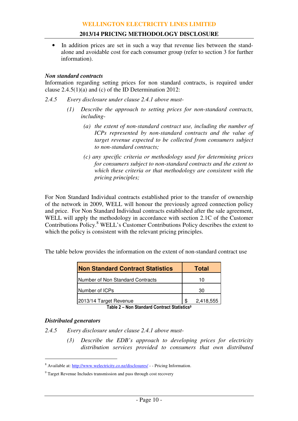• In addition prices are set in such a way that revenue lies between the standalone and avoidable cost for each consumer group (refer to section 3 for further information).

#### *Non standard contracts*

Information regarding setting prices for non standard contracts, is required under clause 2.4.5(1)(a) and (c) of the ID Determination 2012:

- *2.4.5 Every disclosure under clause 2.4.1 above must-* 
	- *(1) Describe the approach to setting prices for non-standard contracts, including-* 
		- *(a) the extent of non-standard contract use, including the number of ICPs represented by non-standard contracts and the value of target revenue expected to be collected from consumers subject to non-standard contracts;*
		- *(c) any specific criteria or methodology used for determining prices for consumers subject to non-standard contracts and the extent to which these criteria or that methodology are consistent with the pricing principles;*

For Non Standard Individual contracts established prior to the transfer of ownership of the network in 2009, WELL will honour the previously agreed connection policy and price. For Non Standard Individual contracts established after the sale agreement, WELL will apply the methodology in accordance with section 2.1C of the Customer Contributions Policy.<sup>8</sup> WELL's Customer Contributions Policy describes the extent to which the policy is consistent with the relevant pricing principles.

The table below provides the information on the extent of non-standard contract use

| <b>Non Standard Contract Statistics</b> | <b>Total</b>    |  |  |  |
|-----------------------------------------|-----------------|--|--|--|
| Number of Non Standard Contracts        | 10              |  |  |  |
| Number of ICPs                          | 30              |  |  |  |
| 2013/14 Target Revenue                  | \$<br>2,418,555 |  |  |  |

Table 2 – Non Standard Contract Statistics<sup>9</sup>

#### *Distributed generators*

 $\overline{a}$ 

*2.4.5 Every disclosure under clause 2.4.1 above must-* 

*(3) Describe the EDB's approach to developing prices for electricity distribution services provided to consumers that own distributed* 

<sup>&</sup>lt;sup>8</sup> Available at: http://www.welectricity.co.nz/disclosures/ - - Pricing Information.

<sup>&</sup>lt;sup>9</sup> Target Revenue Includes transmission and pass through cost recovery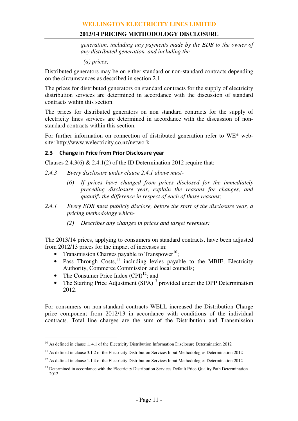*generation, including any payments made by the EDB to the owner of any distributed generation, and including the-* 

*(a) prices;* 

Distributed generators may be on either standard or non-standard contracts depending on the circumstances as described in section 2.1.

The prices for distributed generators on standard contracts for the supply of electricity distribution services are determined in accordance with the discussion of standard contracts within this section.

The prices for distributed generators on non standard contracts for the supply of electricity lines services are determined in accordance with the discussion of nonstandard contracts within this section.

For further information on connection of distributed generation refer to WE\* website: http://www.welectricity.co.nz/network

#### 2.3 Change in Price from Prior Disclosure year

Clauses 2.4.3(6) & 2.4.1(2) of the ID Determination 2012 require that;

- *2.4.3 Every disclosure under clause 2.4.1 above must-* 
	- *(6) If prices have changed from prices disclosed for the immediately preceding disclosure year, explain the reasons for changes, and quantify the difference in respect of each of those reasons;*
- *2.4.1 Every EDB must publicly disclose, before the start of the disclosure year, a pricing methodology which-* 
	- *(2) Describes any changes in prices and target revenues;*

The 2013/14 prices, applying to consumers on standard contracts, have been adjusted from 2012/13 prices for the impact of increases in:

- Transmission Charges payable to Transpower<sup>10</sup>;
- Pass Through Costs,<sup>11</sup> including levies payable to the MBIE, Electricity Authority, Commerce Commission and local councils;
- The Consumer Price Index  $(CPI)^{12}$ ; and

 $\overline{a}$ 

• The Starting Price Adjustment  $(SPA)^{13}$  provided under the DPP Determination 2012.

For consumers on non-standard contracts WELL increased the Distribution Charge price component from 2012/13 in accordance with conditions of the individual contracts. Total line charges are the sum of the Distribution and Transmission

 $10$  As defined in clause 1..4.1 of the Electricity Distribution Information Disclosure Determination 2012

<sup>&</sup>lt;sup>11</sup> As defined in clause 3.1.2 of the Electricity Distribution Services Input Methodologies Determination 2012

 $12$  As defined in clause 1.1.4 of the Electricity Distribution Services Input Methodologies Determination 2012

<sup>&</sup>lt;sup>13</sup> Determined in accordance with the Electricity Distribution Services Default Price-Quality Path Determination 2012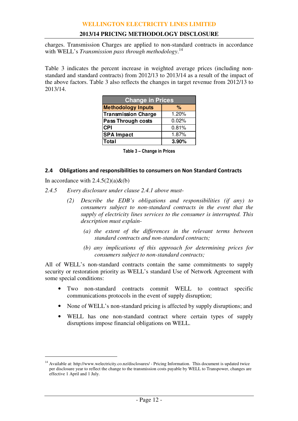## **2013/14 PRICING METHODOLOGY DISCLOSURE**

charges. Transmission Charges are applied to non-standard contracts in accordance with WELL's *Transmission pass through methodology*. 14

Table 3 indicates the percent increase in weighted average prices (including nonstandard and standard contracts) from 2012/13 to 2013/14 as a result of the impact of the above factors. Table 3 also reflects the changes in target revenue from 2012/13 to 2013/14.

| <b>Change in Prices</b>    |       |  |  |  |  |  |  |  |  |
|----------------------------|-------|--|--|--|--|--|--|--|--|
| <b>Methodology Inputs</b>  | %     |  |  |  |  |  |  |  |  |
| <b>Transmission Charge</b> | 1.20% |  |  |  |  |  |  |  |  |
| <b>Pass Through costs</b>  | 0.02% |  |  |  |  |  |  |  |  |
| <b>CPI</b>                 | 0.81% |  |  |  |  |  |  |  |  |
| <b>SPA Impact</b>          | 1.87% |  |  |  |  |  |  |  |  |
| Total                      | 3.90% |  |  |  |  |  |  |  |  |

Table 3 – Change in Prices

#### 2.4 Obligations and responsibilities to consumers on Non Standard Contracts

In accordance with  $2.4.5(2)(a) \& (b)$ 

 $\overline{a}$ 

- *2.4.5 Every disclosure under clause 2.4.1 above must-* 
	- *(2) Describe the EDB's obligations and responsibilities (if any) to consumers subject to non-standard contracts in the event that the supply of electricity lines services to the consumer is interrupted. This description must explain-* 
		- *(a) the extent of the differences in the relevant terms between standard contracts and non-standard contracts;*
		- *(b) any implications of this approach for determining prices for consumers subject to non-standard contracts;*

All of WELL's non-standard contracts contain the same commitments to supply security or restoration priority as WELL's standard Use of Network Agreement with some special conditions:

- Two non-standard contracts commit WELL to contract specific communications protocols in the event of supply disruption;
- None of WELL's non-standard pricing is affected by supply disruptions; and
- WELL has one non-standard contract where certain types of supply disruptions impose financial obligations on WELL.

<sup>&</sup>lt;sup>14</sup> Available at: http://www.welectricity.co.nz/disclosures/ - Pricing Information. This document is updated twice per disclosure year to reflect the change to the transmission costs payable by WELL to Transpower, changes are effective 1 April and 1 July.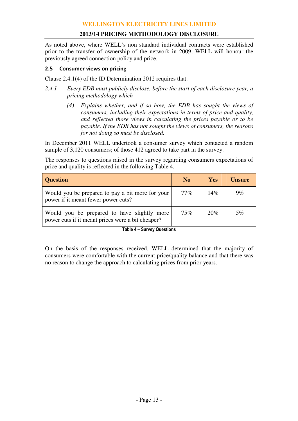As noted above, where WELL's non standard individual contracts were established prior to the transfer of ownership of the network in 2009, WELL will honour the previously agreed connection policy and price.

#### 2.5 Consumer views on pricing

Clause 2.4.1(4) of the ID Determination 2012 requires that:

- *2.4.1 Every EDB must publicly disclose, before the start of each disclosure year, a pricing methodology which-* 
	- *(4) Explains whether, and if so how, the EDB has sought the views of consumers, including their expectations in terms of price and quality, and reflected those views in calculating the prices payable or to be payable. If the EDB has not sought the views of consumers, the reasons for not doing so must be disclosed.*

In December 2011 WELL undertook a consumer survey which contacted a random sample of 3,120 consumers; of those 412 agreed to take part in the survey.

The responses to questions raised in the survey regarding consumers expectations of price and quality is reflected in the following Table 4.

| <b>Question</b>                                                                                  | N <sub>0</sub> | <b>Yes</b> | <b>Unsure</b> |
|--------------------------------------------------------------------------------------------------|----------------|------------|---------------|
| Would you be prepared to pay a bit more for your<br>power if it meant fewer power cuts?          | 77%            | 14%        | $9\%$         |
| Would you be prepared to have slightly more<br>power cuts if it meant prices were a bit cheaper? | $75\%$         | 20%        | 5%            |

Table 4 – Survey Questions

On the basis of the responses received, WELL determined that the majority of consumers were comfortable with the current price/quality balance and that there was no reason to change the approach to calculating prices from prior years.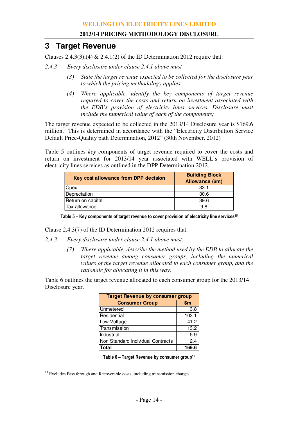# **3 Target Revenue**

Clauses 2.4.3(3),(4)  $& 2.4.1(2)$  of the ID Determination 2012 require that:

- *2.4.3 Every disclosure under clause 2.4.1 above must-* 
	- *(3) State the target revenue expected to be collected for the disclosure year to which the pricing methodology applies;*
	- *(4) Where applicable, identify the key components of target revenue required to cover the costs and return on investment associated with the EDB's provision of electricity lines services. Disclosure must include the numerical value of each of the components;*

The target revenue expected to be collected in the 2013/14 Disclosure year is \$169.6 million. This is determined in accordance with the "Electricity Distribution Service Default Price-Quality path Determination, 2012" (30th November, 2012)

Table 5 outlines *key* components of target revenue required to cover the costs and return on investment for 2013/14 year associated with WELL's provision of electricity lines services as outlined in the DPP Determination 2012.

| Key cost allowance from DPP decision | <b>Building Block</b><br>Allowance (\$m) |
|--------------------------------------|------------------------------------------|
| Opex                                 | 33.1                                     |
| Depreciation                         | 30.6                                     |
| Return on capital                    | 39.6                                     |
| Tax allowance                        | 98                                       |

Table 5 – Key components of target revenue to cover provision of electricity line services<sup>15</sup>

Clause 2.4.3(7) of the ID Determination 2012 requires that:

- *2.4.3 Every disclosure under clause 2.4.1 above must-* 
	- *(7) Where applicable, describe the method used by the EDB to allocate the target revenue among consumer groups, including the numerical values of the target revenue allocated to each consumer group, and the rationale for allocating it in this way;*

Table 6 outlines the target revenue allocated to each consumer group for the 2013/14 Disclosure year.

| <b>Target Revenue by consumer group</b> |       |  |  |  |  |  |  |
|-----------------------------------------|-------|--|--|--|--|--|--|
| <b>Consumer Group</b>                   | \$m   |  |  |  |  |  |  |
| Unmetered                               | 3.8   |  |  |  |  |  |  |
| Residential                             | 103.1 |  |  |  |  |  |  |
| Low Voltage                             | 41.2  |  |  |  |  |  |  |
| Transmission                            | 13.2  |  |  |  |  |  |  |
| Industrial                              | 5.9   |  |  |  |  |  |  |
| Non Standard Individual Contracts       | 2.4   |  |  |  |  |  |  |
| <b>Total</b>                            | 169.6 |  |  |  |  |  |  |

Table  $6$  – Target Revenue by consumer group<sup>16</sup>

<sup>&</sup>lt;sup>15</sup> Excludes Pass through and Recoverable costs, including transmission charges.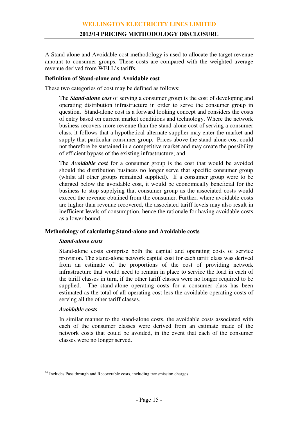A Stand-alone and Avoidable cost methodology is used to allocate the target revenue amount to consumer groups. These costs are compared with the weighted average revenue derived from WELL's tariffs.

#### **Definition of Stand-alone and Avoidable cost**

These two categories of cost may be defined as follows:

The *Stand-alone cost* of serving a consumer group is the cost of developing and operating distribution infrastructure in order to serve the consumer group in question. Stand-alone cost is a forward looking concept and considers the costs of entry based on current market conditions and technology. Where the network business recovers more revenue than the stand-alone cost of serving a consumer class, it follows that a hypothetical alternate supplier may enter the market and supply that particular consumer group. Prices above the stand-alone cost could not therefore be sustained in a competitive market and may create the possibility of efficient bypass of the existing infrastructure; and

The *Avoidable cost* for a consumer group is the cost that would be avoided should the distribution business no longer serve that specific consumer group (whilst all other groups remained supplied). If a consumer group were to be charged below the avoidable cost, it would be economically beneficial for the business to stop supplying that consumer group as the associated costs would exceed the revenue obtained from the consumer. Further, where avoidable costs are higher than revenue recovered, the associated tariff levels may also result in inefficient levels of consumption, hence the rationale for having avoidable costs as a lower bound.

#### **Methodology of calculating Stand-alone and Avoidable costs**

#### *Stand-alone costs*

Stand-alone costs comprise both the capital and operating costs of service provision. The stand-alone network capital cost for each tariff class was derived from an estimate of the proportions of the cost of providing network infrastructure that would need to remain in place to service the load in each of the tariff classes in turn, if the other tariff classes were no longer required to be supplied. The stand-alone operating costs for a consumer class has been estimated as the total of all operating cost less the avoidable operating costs of serving all the other tariff classes.

# *Avoidable costs*

<u>.</u>

In similar manner to the stand-alone costs, the avoidable costs associated with each of the consumer classes were derived from an estimate made of the network costs that could be avoided, in the event that each of the consumer classes were no longer served.

<sup>&</sup>lt;sup>16</sup> Includes Pass through and Recoverable costs, including transmission charges.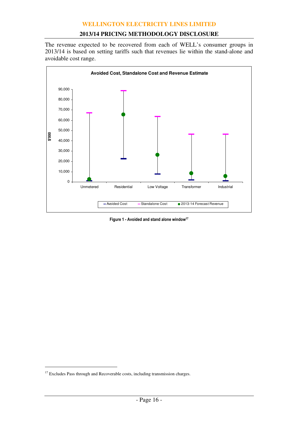#### **2013/14 PRICING METHODOLOGY DISCLOSURE**

The revenue expected to be recovered from each of WELL's consumer groups in 2013/14 is based on setting tariffs such that revenues lie within the stand-alone and avoidable cost range.



Figure 1 - Avoided and stand alone window<sup>17</sup>

<sup>&</sup>lt;sup>17</sup> Excludes Pass through and Recoverable costs, including transmission charges.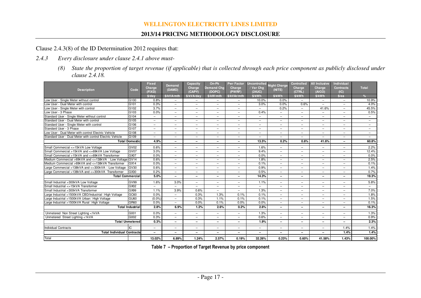#### **2013/14 PRICING METHODOLOGY DISCLOSURE**

Clause 2.4.3(8) of the ID Determination 2012 requires that:

- *2.4.3 Every disclosure under clause 2.4.1 above must-* 
	- *(8) State the proportion of target revenue (if applicable) that is collected through each price component as publicly disclosed under clause 2.4.18.*

| <b>Description</b>                                       | Code                    | <b>Fixed</b><br>Charge<br>(FIXD) | Demand<br>(DAMD)         | Capacity<br>Charge<br>(CAPY)           | On-Pk<br><b>Demand Chg</b><br>(DOPC) | <b>Pwr Factor</b><br>Charge<br>(PWRF) | Uncontrolled<br>/ Var Cha<br>(24UC) | <b>Night Charge</b><br>(NITE) | <b>Controlled</b><br>Charge<br>(CTRL) | <b>All Inclusive</b><br>Charge<br>(AICO) | <b>Individual</b><br><b>Contracts</b><br>(IC) | <b>Total</b>             |
|----------------------------------------------------------|-------------------------|----------------------------------|--------------------------|----------------------------------------|--------------------------------------|---------------------------------------|-------------------------------------|-------------------------------|---------------------------------------|------------------------------------------|-----------------------------------------------|--------------------------|
| Low User - Single Meter without control                  | G <sub>100</sub>        | \$/day<br>0.8%                   | \$/kVA/mth               | \$/kVA/day<br>$\overline{\phantom{0}}$ | \$/kW/mth<br>$\equiv$                | \$/kVAr/mth                           | \$/kWh<br>10.0%                     | S/KWh<br>0.0%                 | \$/kWh<br>$\overline{\phantom{0}}$    | \$/kWh<br>$\overline{\phantom{0}}$       | s/ea<br>$\overline{\phantom{0}}$              | $\frac{9}{6}$<br>10.9%   |
| Low User - Dual Meter with control                       | G101                    | 0.3%                             | $\overline{\phantom{m}}$ |                                        | $\overline{\phantom{0}}$             | $\overline{\phantom{m}}$              | 3.0%                                | 0.0%                          | 0.6%                                  | $\equiv$                                 | $\overline{\phantom{0}}$                      | 4.0%                     |
| Low User - Single Meter with control                     | G102                    | 3.7%                             | $\overline{\phantom{m}}$ | $\equiv$                               | $\overline{\phantom{0}}$             | $\overline{\phantom{m}}$              |                                     | 0.2%                          | $\overline{\phantom{0}}$              | 41.6%                                    | $\overline{\phantom{0}}$                      | 45.5%                    |
| Low User - 3 Phase                                       | G103                    | 0.0%                             | $\overline{\phantom{m}}$ | $-$                                    | -                                    | $\overline{\phantom{m}}$              | 0.4%                                | $\overline{\phantom{0}}$      | $\qquad \qquad -$                     |                                          | $\overline{\phantom{0}}$                      | 0.5%                     |
| Standard User - Single Meter without control             | G <sub>104</sub>        | $\overline{\phantom{0}}$         | $\overline{\phantom{a}}$ | $\overline{\phantom{0}}$               | $\overline{\phantom{0}}$             | $\equiv$                              | $\overline{\phantom{a}}$            | $\overline{\phantom{0}}$      | $\overline{\phantom{0}}$              | $\equiv$                                 | $\overline{\phantom{0}}$                      | $\sim$                   |
| Standard User - Dual Meter with control                  | G105                    | $\overline{\phantom{0}}$         | $\overline{\phantom{m}}$ | $\overline{\phantom{0}}$               | $\overline{\phantom{0}}$             | $\equiv$                              | $\overline{\phantom{a}}$            | $\overline{\phantom{a}}$      | $\qquad \qquad -$                     | $\equiv$                                 | $\overline{\phantom{0}}$                      | $\sim$                   |
| Standard User - Single Meter with control                | G106                    | $\overline{\phantom{0}}$         | $\overline{\phantom{m}}$ | $-$                                    | $\overline{\phantom{0}}$             | $\overline{\phantom{m}}$              | $\overline{\phantom{a}}$            | $\overline{\phantom{a}}$      | $\qquad \qquad -$                     | $\equiv$                                 | $\overline{\phantom{0}}$                      | $\equiv$                 |
| Standard User - 3 Phase                                  | G107                    | $\qquad \qquad -$                | $\overline{\phantom{0}}$ | $\overline{\phantom{0}}$               | $\overline{\phantom{0}}$             | $\overline{\phantom{0}}$              | $\qquad \qquad -$                   | $\overline{\phantom{0}}$      | $\qquad \qquad -$                     | $\overline{\phantom{0}}$                 | $\overline{\phantom{0}}$                      | $\overline{\phantom{0}}$ |
| Low User - Dual Meter with control Electric Vehicle      | G108                    | $\overline{\phantom{0}}$         | $\equiv$                 | $\equiv$                               | $\equiv$                             | $\equiv$                              | $\equiv$                            | $\equiv$                      | $\overline{\phantom{0}}$              | $\equiv$                                 | $\overline{\phantom{0}}$                      | $\equiv$                 |
| Standard User - Dual Meter with control Electric Vehicle | G109                    | $\overline{\phantom{0}}$         | $\overline{\phantom{m}}$ | $\overline{\phantom{0}}$               | $\overline{\phantom{0}}$             | $\equiv$                              | $\overline{\phantom{0}}$            | $\overline{\phantom{0}}$      | $\overline{\phantom{0}}$              | $\equiv$                                 | $\overline{\phantom{0}}$                      | $\equiv$                 |
|                                                          | <b>Total Domestic</b>   | 4.9%                             | $\overline{\phantom{0}}$ | $\overline{\phantom{0}}$               | $\overline{\phantom{0}}$             |                                       | 13.5%                               | 0.2%                          | 0.6%                                  | 41.6%                                    | $\overline{\phantom{0}}$                      | 60.8%                    |
| Small Commercial <= 15kVA Low Voltage                    | GV <sub>02</sub>        | 0.6%                             | $\overline{\phantom{m}}$ | $-$                                    | $\overline{\phantom{0}}$             | $\overline{\phantom{0}}$              | 1.6%                                | $\overline{\phantom{a}}$      | $\equiv$                              | $\equiv$                                 | $\overline{\phantom{0}}$                      | 2.2%                     |
| Small Commercial >15kVA and <=69kVA Low Voltage          | GV07                    | 3.0%                             | $\overline{\phantom{m}}$ | $\overline{\phantom{0}}$               | $\overline{\phantom{0}}$             | $\overline{\phantom{0}}$              | 9.4%                                | $\overline{\phantom{0}}$      |                                       | $\overline{\phantom{0}}$                 | $\overline{\phantom{0}}$                      | 12.4%                    |
| Small Commercial >15kVA and <= 69kVA Transformer         | GX07                    | 0.0%                             | $\overline{\phantom{a}}$ | $\equiv$                               | $\overline{\phantom{0}}$             | $\equiv$                              | 0.0%                                | $\equiv$                      | $\overline{\phantom{0}}$              | $\equiv$                                 | $\overline{\phantom{0}}$                      | 0.0%                     |
| Medium Commercial >69kVA and <=138kVA Low Voltage GV14   |                         | 0.6%                             | $\overline{\phantom{m}}$ | $\overline{\phantom{0}}$               | $\overline{\phantom{0}}$             | $\equiv$                              | 1.8%                                | $\overline{\phantom{a}}$      | $\overline{\phantom{0}}$              | $\equiv$                                 | $\overline{\phantom{0}}$                      | 2.5%                     |
| Medium Commercial >69kVA and <=138kVA Transformer        | GX <sub>14</sub>        | 0.0%                             | $\overline{\phantom{a}}$ | $\equiv$                               | $\equiv$                             | $\equiv$                              | 0.1%                                | $\overline{\phantom{a}}$      | $\overline{\phantom{0}}$              | $\equiv$                                 | $\overline{\phantom{0}}$                      | 0.1%                     |
| Large Commercial >138kVA and <= 300kVA    Low Voltage    | GV30                    | 0.6%                             | $\overline{\phantom{m}}$ | $\overline{\phantom{0}}$               | $\overline{\phantom{0}}$             | $\overline{\phantom{0}}$              | 0.9%                                | $\overline{\phantom{a}}$      | $\overline{\phantom{0}}$              | $\overline{\phantom{0}}$                 | $\overline{\phantom{0}}$                      | 1.4%                     |
| Large Commercial >138kVA and <= 300kVA Transformer       | GX30                    | 0.2%                             | $\overline{\phantom{m}}$ | $\qquad \qquad \qquad$                 | $-$                                  | $\overline{\phantom{0}}$              | 0.5%                                | -                             | $\qquad \qquad =$                     | $\overline{\phantom{0}}$                 | $\qquad \qquad -$                             | 0.7%                     |
| <b>Total Commercial</b>                                  |                         | 5.0%                             | $\overline{\phantom{0}}$ | -                                      | -                                    | $\overline{\phantom{0}}$              | 14.3%                               | $\overline{\phantom{a}}$      | $\qquad \qquad$                       | $\overline{\phantom{0}}$                 | -                                             | 19.3%                    |
| Small Industrial >300kVA Low Voltage                     | GV99                    | 1.6%                             | 3.0%                     | $\overline{\phantom{0}}$               | $\overline{\phantom{0}}$             | $\overline{\phantom{m}}$              | 1.1%                                | $\overline{\phantom{a}}$      | $\overline{\phantom{0}}$              | $\equiv$                                 | $\overline{\phantom{0}}$                      | 5.8%                     |
| Small Industrial <= 15kVA Transformer                    | GX02                    | $\overline{\phantom{0}}$         | $\overline{\phantom{m}}$ | $-$                                    | $\overline{\phantom{0}}$             | $\overline{\phantom{m}}$              | $\overline{\phantom{0}}$            | $\overline{\phantom{a}}$      | $\overline{\phantom{0}}$              | $\overline{\phantom{0}}$                 | $\qquad \qquad -$                             | $\sim$                   |
| Small Industrial >300kVA Transformer                     | GX99                    | 1.1%                             | 3.9%                     | 0.6%                                   | $\overline{\phantom{0}}$             | $\equiv$                              | 1.3%                                | $\overline{\phantom{a}}$      | $\overline{\phantom{0}}$              | $\overline{\phantom{0}}$                 | $\overline{\phantom{0}}$                      | 7.0%                     |
| Large Industrial >1500kVA CBD/Industrial High Voltage    | GC60                    | 0.0%                             | $\overline{\phantom{m}}$ | 0.3%                                   | 1.3%                                 | 0.1%                                  | 0.1%                                | $\overline{\phantom{a}}$      | $\qquad \qquad -$                     | $\overline{\phantom{0}}$                 | $\qquad \qquad -$                             | 1.8%                     |
| Large Industrial >1500kVA Urban High Voltage             | GU <sub>60</sub>        | (0.0%                            | $\overline{\phantom{a}}$ | 0.3%                                   | 1.1%                                 | 0.1%                                  | 0.1%                                | $\overline{\phantom{0}}$      | $\overline{\phantom{0}}$              | $\equiv$                                 | $\overline{\phantom{0}}$                      | 1.5%                     |
| Large Industrial >1500kVA Rural High Voltage             | GR <sub>60</sub>        | 0.0%                             | $\overline{\phantom{m}}$ | 0.0%                                   | 0.1%                                 | 0.0%                                  | 0.0%                                | $\overline{\phantom{a}}$      | $\qquad \qquad -$                     | $\equiv$                                 | $\overline{\phantom{0}}$                      | 0.1%                     |
|                                                          | <b>Total Industrial</b> | 2.8%                             | 6.9%                     | 1.2%                                   | 2.6%                                 | 0.2%                                  | 2.6%                                | $\overline{\phantom{0}}$      |                                       | $\overline{\phantom{0}}$                 | -                                             | 16.3%                    |
| Unmetered Non Street Lighting <1kVA                      | G001                    | 0.0%                             | $\overline{\phantom{a}}$ | $\overline{\phantom{0}}$               | $\overline{\phantom{0}}$             | $\overline{\phantom{0}}$              | 1.3%                                | $\overline{\phantom{a}}$      | $\qquad \qquad -$                     | $\equiv$                                 | $\overline{\phantom{0}}$                      | 1.3%                     |
| Unmetered Street Lighting <1kVA                          | G002                    | 0.3%                             | $\overline{\phantom{m}}$ | $\overline{\phantom{0}}$               | $-$                                  | $\overline{\phantom{0}}$              | 0.6%                                | -                             | $\qquad \qquad -$                     | $\overline{\phantom{0}}$                 | $\qquad \qquad -$                             | 0.9%                     |
| <b>Total Unmetered</b>                                   |                         | 0.3%                             | $\overline{\phantom{0}}$ | $\overline{\phantom{0}}$               | -                                    | $\overline{\phantom{0}}$              | 1.9%                                | $\qquad \qquad -$             | $\overline{\phantom{0}}$              | $\overline{\phantom{0}}$                 | -                                             | 2.3%                     |
| Individual Contracts                                     | IС                      | $\overline{\phantom{0}}$         | $\overline{\phantom{m}}$ | $\equiv$                               | $\overline{\phantom{0}}$             | $\equiv$                              | $\overline{\phantom{0}}$            | $\overline{\phantom{a}}$      | $\qquad \qquad -$                     | $\equiv$                                 | 1.4%                                          | 1.4%                     |
| <b>Total Individual Contracts</b>                        |                         | -                                | $\overline{\phantom{0}}$ | -                                      | $\overline{\phantom{0}}$             | $\overline{\phantom{0}}$              | $\overline{\phantom{0}}$            | $\overline{\phantom{0}}$      | -                                     | $\overline{\phantom{0}}$                 | 1.4%                                          | 1.4%                     |
| Total                                                    |                         | 13.02%                           | 6.89%                    | 1.24%                                  | 2.57%                                | 0.19%                                 | 32.26%                              | 0.23%                         | 0.60%                                 | 41.58%                                   | 1.43%                                         | 100.00%                  |

Table 7 – Proportion of Target Revenue by price component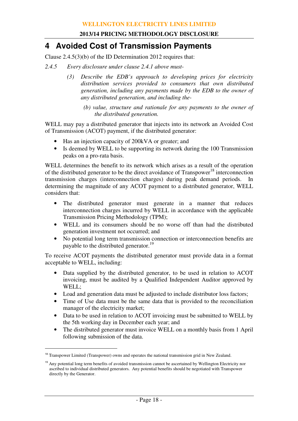# **4 Avoided Cost of Transmission Payments**

Clause 2.4.5(3)(b) of the ID Determination 2012 requires that:

- *2.4.5 Every disclosure under clause 2.4.1 above must-* 
	- *(3) Describe the EDB's approach to developing prices for electricity distribution services provided to consumers that own distributed generation, including any payments made by the EDB to the owner of any distributed generation, and including the-* 
		- *(b) value, structure and rationale for any payments to the owner of the distributed generation.*

WELL may pay a distributed generator that injects into its network an Avoided Cost of Transmission (ACOT) payment, if the distributed generator:

- Has an injection capacity of 200kVA or greater; and
- Is deemed by WELL to be supporting its network during the 100 Transmission peaks on a pro-rata basis.

WELL determines the benefit to its network which arises as a result of the operation of the distributed generator to be the direct avoidance of Transpower<sup>18</sup> interconnection transmission charges (interconnection charges) during peak demand periods. In determining the magnitude of any ACOT payment to a distributed generator, WELL considers that:

- The distributed generator must generate in a manner that reduces interconnection charges incurred by WELL in accordance with the applicable Transmission Pricing Methodology (TPM);
- WELL and its consumers should be no worse off than had the distributed generation investment not occurred; and
- No potential long term transmission connection or interconnection benefits are payable to the distributed generator.<sup>19</sup>

To receive ACOT payments the distributed generator must provide data in a format acceptable to WELL, including:

- Data supplied by the distributed generator, to be used in relation to ACOT invoicing, must be audited by a Qualified Independent Auditor approved by WELL;
- Load and generation data must be adjusted to include distributor loss factors;
- Time of Use data must be the same data that is provided to the reconciliation manager of the electricity market;
- Data to be used in relation to ACOT invoicing must be submitted to WELL by the 5th working day in December each year; and
- The distributed generator must invoice WELL on a monthly basis from 1 April following submission of the data.

<sup>&</sup>lt;sup>18</sup> Transpower Limited (Transpower) owns and operates the national transmission grid in New Zealand.

<sup>&</sup>lt;sup>19</sup> Any potential long term benefits of avoided transmission cannot be ascertained by Wellington Electricity nor ascribed to individual distributed generators. Any potential benefits should be negotiated with Transpower directly by the Generator.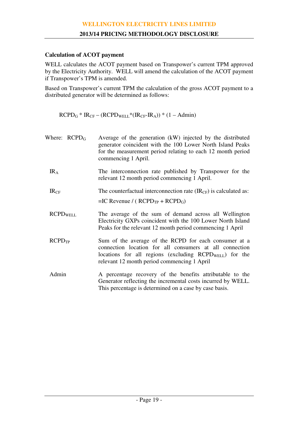#### **Calculation of ACOT payment**

WELL calculates the ACOT payment based on Transpower's current TPM approved by the Electricity Authority. WELL will amend the calculation of the ACOT payment if Transpower's TPM is amended.

Based on Transpower's current TPM the calculation of the gross ACOT payment to a distributed generator will be determined as follows:

 $RCPD<sub>G</sub> * IR<sub>CF</sub> - (RCPD<sub>WELL</sub> * (IR<sub>CF</sub>-IR<sub>A</sub>))*(1 - Admin)$ 

| Where: $RCPD_G$    | Average of the generation (kW) injected by the distributed<br>generator coincident with the 100 Lower North Island Peaks<br>for the measurement period relating to each 12 month period<br>commencing 1 April.               |
|--------------------|------------------------------------------------------------------------------------------------------------------------------------------------------------------------------------------------------------------------------|
| IR <sub>A</sub>    | The interconnection rate published by Transpower for the<br>relevant 12 month period commencing 1 April.                                                                                                                     |
| IR <sub>CF</sub>   | The counterfactual interconnection rate $(\text{IR}_{CF})$ is calculated as:<br>$=IC$ Revenue / ( $RCPD_{TP}$ + $RCPD_G$ )                                                                                                   |
| <b>RCPDWELL</b>    | The average of the sum of demand across all Wellington<br>Electricity GXPs coincident with the 100 Lower North Island<br>Peaks for the relevant 12 month period commencing 1 April                                           |
| RCPD <sub>TP</sub> | Sum of the average of the RCPD for each consumer at a<br>connection location for all consumers at all connection<br>locations for all regions (excluding $RCPDWELL$ ) for the<br>relevant 12 month period commencing 1 April |
| Admin              | A percentage recovery of the benefits attributable to the<br>Generator reflecting the incremental costs incurred by WELL.<br>This percentage is determined on a case by case basis.                                          |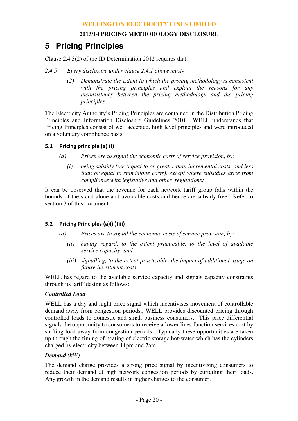# **5 Pricing Principles**

Clause 2.4.3(2) of the ID Determination 2012 requires that:

- *2.4.5 Every disclosure under clause 2.4.1 above must-* 
	- *(2) Demonstrate the extent to which the pricing methodology is consistent with the pricing principles and explain the reasons for any inconsistency between the pricing methodology and the pricing principles.*

The Electricity Authority's Pricing Principles are contained in the Distribution Pricing Principles and Information Disclosure Guidelines 2010. WELL understands that Pricing Principles consist of well accepted, high level principles and were introduced on a voluntary compliance basis.

## 5.1 Pricing principle (a) (i)

- *(a) Prices are to signal the economic costs of service provision, by:* 
	- *(i) being subsidy free (equal to or greater than incremental costs, and less than or equal to standalone costs), except where subsidies arise from compliance with legislative and other regulations;*

It can be observed that the revenue for each network tariff group falls within the bounds of the stand-alone and avoidable costs and hence are subsidy-free. Refer to section 3 of this document.

# 5.2 Pricing Principles (a)(ii)(iii)

- *(a) Prices are to signal the economic costs of service provision, by:* 
	- *(ii) having regard, to the extent practicable, to the level of available service capacity; and*
	- *(iii) signalling, to the extent practicable, the impact of additional usage on future investment costs.*

WELL has regard to the available service capacity and signals capacity constraints through its tariff design as follows:

#### *Controlled Load*

WELL has a day and night price signal which incentivises movement of controllable demand away from congestion periods., WELL provides discounted pricing through controlled loads to domestic and small business consumers. This price differential signals the opportunity to consumers to receive a lower lines function services cost by shifting load away from congestion periods. Typically these opportunities are taken up through the timing of heating of electric storage hot-water which has the cylinders charged by electricity between 11pm and 7am.

# *Demand (kW)*

The demand charge provides a strong price signal by incentivising consumers to reduce their demand at high network congestion periods by curtailing their loads. Any growth in the demand results in higher charges to the consumer.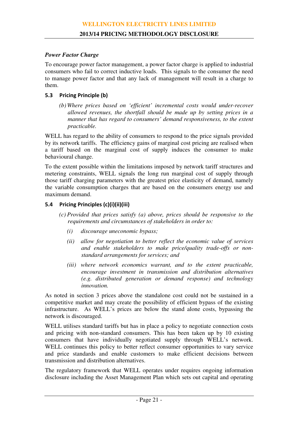#### *Power Factor Charge*

To encourage power factor management, a power factor charge is applied to industrial consumers who fail to correct inductive loads. This signals to the consumer the need to manage power factor and that any lack of management will result in a charge to them.

### 5.3 Pricing Principle (b)

*(b) Where prices based on 'efficient' incremental costs would under-recover allowed revenues, the shortfall should be made up by setting prices in a manner that has regard to consumers' demand responsiveness, to the extent practicable.* 

WELL has regard to the ability of consumers to respond to the price signals provided by its network tariffs. The efficiency gains of marginal cost pricing are realised when a tariff based on the marginal cost of supply induces the consumer to make behavioural change.

To the extent possible within the limitations imposed by network tariff structures and metering constraints, WELL signals the long run marginal cost of supply through those tariff charging parameters with the greatest price elasticity of demand, namely the variable consumption charges that are based on the consumers energy use and maximum demand.

# 5.4 Pricing Principles (c)(i)(ii)(iii)

- *(c) Provided that prices satisfy (a) above, prices should be responsive to the requirements and circumstances of stakeholders in order to:* 
	- *(i) discourage uneconomic bypass;*
	- *(ii) allow for negotiation to better reflect the economic value of services and enable stakeholders to make price/quality trade-offs or nonstandard arrangements for services; and*
	- *(iii) where network economics warrant, and to the extent practicable, encourage investment in transmission and distribution alternatives (e.g. distributed generation or demand response) and technology innovation.*

As noted in section 3 prices above the standalone cost could not be sustained in a competitive market and may create the possibility of efficient bypass of the existing infrastructure. As WELL's prices are below the stand alone costs, bypassing the network is discouraged.

WELL utilises standard tariffs but has in place a policy to negotiate connection costs and pricing with non-standard consumers. This has been taken up by 10 existing consumers that have individually negotiated supply through WELL's network. WELL continues this policy to better reflect consumer opportunities to vary service and price standards and enable customers to make efficient decisions between transmission and distribution alternatives.

The regulatory framework that WELL operates under requires ongoing information disclosure including the Asset Management Plan which sets out capital and operating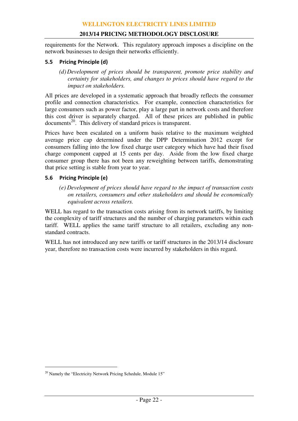requirements for the Network. This regulatory approach imposes a discipline on the network businesses to design their networks efficiently.

#### 5.5 Pricing Principle (d)

*(d) Development of prices should be transparent, promote price stability and certainty for stakeholders, and changes to prices should have regard to the impact on stakeholders.* 

All prices are developed in a systematic approach that broadly reflects the consumer profile and connection characteristics. For example, connection characteristics for large consumers such as power factor, play a large part in network costs and therefore this cost driver is separately charged. All of these prices are published in public documents<sup>20</sup>. This delivery of standard prices is transparent.

Prices have been escalated on a uniform basis relative to the maximum weighted average price cap determined under the DPP Determination 2012 except for consumers falling into the low fixed charge user category which have had their fixed charge component capped at 15 cents per day. Aside from the low fixed charge consumer group there has not been any reweighting between tariffs, demonstrating that price setting is stable from year to year.

### 5.6 Pricing Principle (e)

*(e) Development of prices should have regard to the impact of transaction costs on retailers, consumers and other stakeholders and should be economically equivalent across retailers.* 

WELL has regard to the transaction costs arising from its network tariffs, by limiting the complexity of tariff structures and the number of charging parameters within each tariff. WELL applies the same tariff structure to all retailers, excluding any nonstandard contracts.

WELL has not introduced any new tariffs or tariff structures in the 2013/14 disclosure year, therefore no transaction costs were incurred by stakeholders in this regard.

<sup>&</sup>lt;sup>20</sup> Namely the "Electricity Network Pricing Schedule, Module 15"